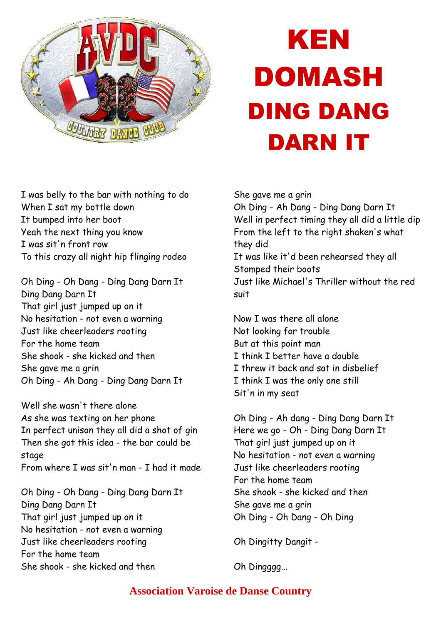

## KEN DOMASH DING DANG DARN IT

I was belly to the bar with nothing to do When I sat my bottle down It bumped into her boot Yeah the next thing you know I was sit'n front row To this crazy all night hip flinging rodeo

Oh Ding - Oh Dang - Ding Dang Darn It Ding Dang Darn It That girl just jumped up on it No hesitation - not even a warning Just like cheerleaders rooting For the home team She shook - she kicked and then She gave me a grin Oh Ding - Ah Dang - Ding Dang Darn It

Well she wasn't there alone As she was texting on her phone In perfect unison they all did a shot of gin Then she got this idea - the bar could be stage From where I was sit'n man - I had it made

Oh Ding - Oh Dang - Ding Dang Darn It Ding Dang Darn It That girl just jumped up on it No hesitation - not even a warning Just like cheerleaders rooting For the home team She shook - she kicked and then

She gave me a grin

Oh Ding - Ah Dang - Ding Dang Darn It Well in perfect timing they all did a little dip From the left to the right shaken's what they did It was like it'd been rehearsed they all Stomped their boots Just like Michael's Thriller without the red suit

Now I was there all alone Not looking for trouble But at this point man I think I better have a double I threw it back and sat in disbelief I think I was the only one still Sit'n in my seat

Oh Ding - Ah dang - Ding Dang Darn It Here we go - Oh - Ding Dang Darn It That girl just jumped up on it No hesitation - not even a warning Just like cheerleaders rooting For the home team She shook - she kicked and then She gave me a grin Oh Ding - Oh Dang - Oh Ding

Oh Dingitty Dangit -

Oh Dingggg...

## **Association Varoise de Danse Country**